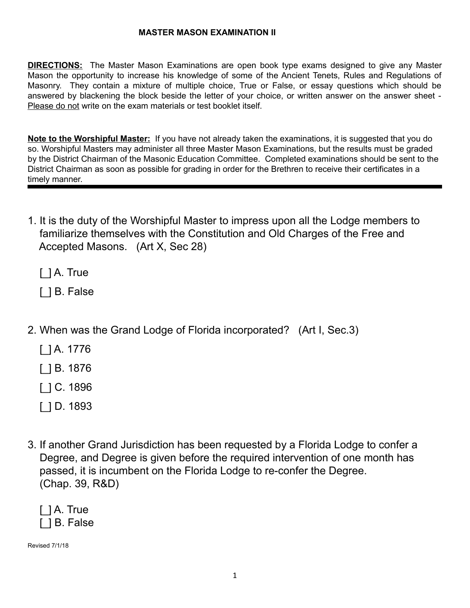## **MASTER MASON EXAMINATION II**

**DIRECTIONS:** The Master Mason Examinations are open book type exams designed to give any Master Mason the opportunity to increase his knowledge of some of the Ancient Tenets, Rules and Regulations of Masonry. They contain a mixture of multiple choice, True or False, or essay questions which should be answered by blackening the block beside the letter of your choice, or written answer on the answer sheet - Please do not write on the exam materials or test booklet itself.

**Note to the Worshipful Master:** If you have not already taken the examinations, it is suggested that you do so. Worshipful Masters may administer all three Master Mason Examinations, but the results must be graded by the District Chairman of the Masonic Education Committee. Completed examinations should be sent to the District Chairman as soon as possible for grading in order for the Brethren to receive their certificates in a timely manner.

1. It is the duty of the Worshipful Master to impress upon all the Lodge members to familiarize themselves with the Constitution and Old Charges of the Free and Accepted Masons. (Art X, Sec 28)

[] A. True

[ ] B. False

- 2. When was the Grand Lodge of Florida incorporated? (Art I, Sec.3)
	- [\_] A. 1776
	- [\_] B. 1876
	- [\_] C. 1896
	- [\_] D. 1893
- 3. If another Grand Jurisdiction has been requested by a Florida Lodge to confer a Degree, and Degree is given before the required intervention of one month has passed, it is incumbent on the Florida Lodge to re-confer the Degree. (Chap. 39, R&D)

|  | $\lceil$ $\rceil$ A. True |
|--|---------------------------|
|  | I 1B. False               |

Revised 7/1/18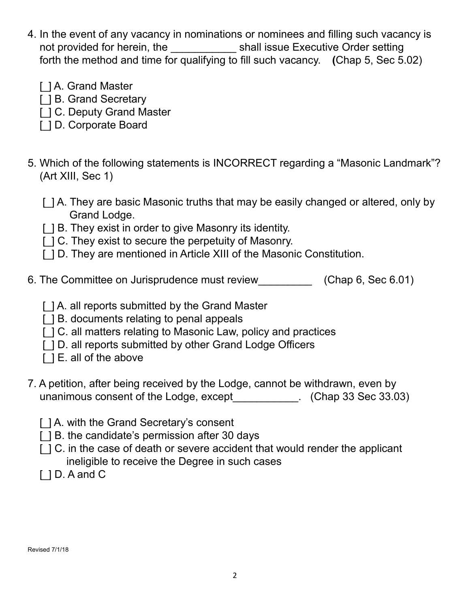- 4. In the event of any vacancy in nominations or nominees and filling such vacancy is not provided for herein, the \_\_\_\_\_\_\_\_\_\_\_\_\_\_ shall issue Executive Order setting forth the method and time for qualifying to fill such vacancy. **(**Chap 5, Sec 5.02)
	- [] A. Grand Master
	- [ $|$  B. Grand Secretary
	- [ $|$  C. Deputy Grand Master
	- [\_] D. Corporate Board
- 5. Which of the following statements is INCORRECT regarding a "Masonic Landmark"? (Art XIII, Sec 1)
	- [ $\parallel$ ] A. They are basic Masonic truths that may be easily changed or altered, only by Grand Lodge.
	- [ $|$ ] B. They exist in order to give Masonry its identity.
	- [ $|C|$ . They exist to secure the perpetuity of Masonry.
	- [ $|$ ] D. They are mentioned in Article XIII of the Masonic Constitution.
- 6. The Committee on Jurisprudence must review\_\_\_\_\_\_\_\_\_ (Chap 6, Sec 6.01)
	- [] A. all reports submitted by the Grand Master
	- [ ] B. documents relating to penal appeals
	- [ $|$ ] C. all matters relating to Masonic Law, policy and practices
	- [ $|$ ] D. all reports submitted by other Grand Lodge Officers
	- $\lceil$   $\lceil$   $\lceil$   $\lceil$   $\lceil$   $\lceil$   $\lceil$  all of the above
- 7. A petition, after being received by the Lodge, cannot be withdrawn, even by unanimous consent of the Lodge, except [10]  $\ldots$  (Chap 33 Sec 33.03)
	- [ $1$ A. with the Grand Secretary's consent
	- [] B. the candidate's permission after 30 days
	- [ $|$ ] C. in the case of death or severe accident that would render the applicant ineligible to receive the Degree in such cases
	- $[$   $]$  D. A and C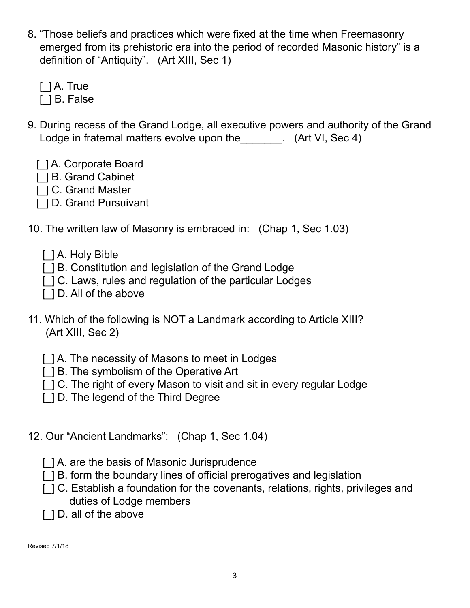8. "Those beliefs and practices which were fixed at the time when Freemasonry emerged from its prehistoric era into the period of recorded Masonic history" is a definition of "Antiquity". (Art XIII, Sec 1)

 $\lceil$   $\rceil$  A. True [  $\vert$  B. False

- 9. During recess of the Grand Lodge, all executive powers and authority of the Grand Lodge in fraternal matters evolve upon the Task (Art VI, Sec 4)
	- [] A. Corporate Board
	- [] B. Grand Cabinet
	- [] C. Grand Master
	- [ $|$ ] D. Grand Pursuivant
- 10. The written law of Masonry is embraced in: (Chap 1, Sec 1.03)
	- [] A. Holy Bible
	- [ $|$ ] B. Constitution and legislation of the Grand Lodge
	- [ $|C|$  Laws, rules and regulation of the particular Lodges
	- [ $|$ ] D. All of the above
- 11. Which of the following is NOT a Landmark according to Article XIII? (Art XIII, Sec 2)
	- [ $|$ ] A. The necessity of Masons to meet in Lodges
	- [ $|$ ] B. The symbolism of the Operative Art
	- [ $\vert$  ] C. The right of every Mason to visit and sit in every regular Lodge
	- [] D. The legend of the Third Degree
- 12. Our "Ancient Landmarks": (Chap 1, Sec 1.04)
	- [] A. are the basis of Masonic Jurisprudence
	- [ $|$ ] B. form the boundary lines of official prerogatives and legislation
	- [ $\vert$ ] C. Establish a foundation for the covenants, relations, rights, privileges and duties of Lodge members
	- [ $|$ ] D. all of the above

Revised 7/1/18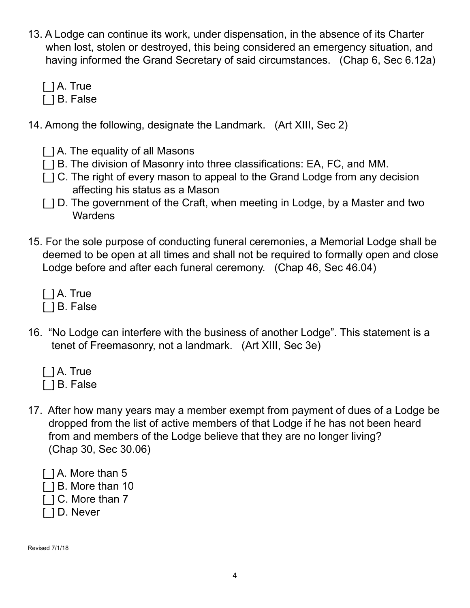- 13. A Lodge can continue its work, under dispensation, in the absence of its Charter when lost, stolen or destroyed, this being considered an emergency situation, and having informed the Grand Secretary of said circumstances. (Chap 6, Sec 6.12a)
	- $\lceil$   $\rceil$  A. True
	- [  $\vert$  B. False
- 14. Among the following, designate the Landmark. (Art XIII, Sec 2)
	- [] A. The equality of all Masons
	- [ $|$ ] B. The division of Masonry into three classifications: EA, FC, and MM.
	- [ $|C|$ . The right of every mason to appeal to the Grand Lodge from any decision affecting his status as a Mason
	- [ $|$ ] D. The government of the Craft, when meeting in Lodge, by a Master and two **Wardens**
- 15. For the sole purpose of conducting funeral ceremonies, a Memorial Lodge shall be deemed to be open at all times and shall not be required to formally open and close Lodge before and after each funeral ceremony. (Chap 46, Sec 46.04)
	- $[$   $]$  A. True
	- [] B. False
- 16. "No Lodge can interfere with the business of another Lodge". This statement is a tenet of Freemasonry, not a landmark. (Art XIII, Sec 3e)
	- [] A. True
	- [] B. False
- 17. After how many years may a member exempt from payment of dues of a Lodge be dropped from the list of active members of that Lodge if he has not been heard from and members of the Lodge believe that they are no longer living? (Chap 30, Sec 30.06)
	- [] A. More than 5
	- [] B. More than 10
	- [] C. More than 7
	- [  $|$  D. Never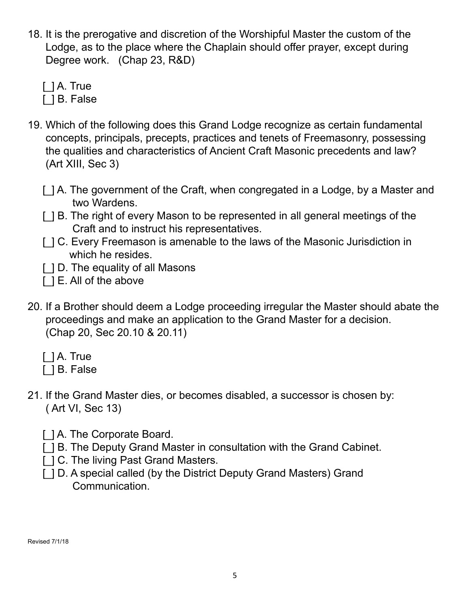18. It is the prerogative and discretion of the Worshipful Master the custom of the Lodge, as to the place where the Chaplain should offer prayer, except during Degree work. (Chap 23, R&D)

 $[$   $]$  A. True

[  $\vert$  B. False

- 19. Which of the following does this Grand Lodge recognize as certain fundamental concepts, principals, precepts, practices and tenets of Freemasonry, possessing the qualities and characteristics of Ancient Craft Masonic precedents and law? (Art XIII, Sec 3)
	- [ $\vert$ ] A. The government of the Craft, when congregated in a Lodge, by a Master and two Wardens.
	- [ $|$ ] B. The right of every Mason to be represented in all general meetings of the Craft and to instruct his representatives.
	- [ $|$ ] C. Every Freemason is amenable to the laws of the Masonic Jurisdiction in which he resides.
	- [ ] D. The equality of all Masons
	- [] E. All of the above
- 20. If a Brother should deem a Lodge proceeding irregular the Master should abate the proceedings and make an application to the Grand Master for a decision. (Chap 20, Sec 20.10 & 20.11)
	- $[$   $]$  A. True
	- [] B. False
- 21. If the Grand Master dies, or becomes disabled, a successor is chosen by: ( Art VI, Sec 13)
	- [] A. The Corporate Board.
	- [ $|$ ] B. The Deputy Grand Master in consultation with the Grand Cabinet.
	- [ $|$ ] C. The living Past Grand Masters.
	- [ $|$ ] D. A special called (by the District Deputy Grand Masters) Grand Communication.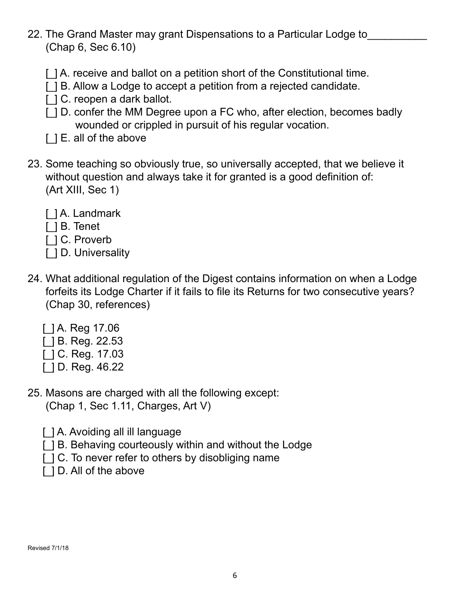- 22. The Grand Master may grant Dispensations to a Particular Lodge to (Chap 6, Sec 6.10)
	- [] A. receive and ballot on a petition short of the Constitutional time.
	- [ $|$ ] B. Allow a Lodge to accept a petition from a rejected candidate.
	- [] C. reopen a dark ballot.
	- [ $|$ ] D. confer the MM Degree upon a FC who, after election, becomes badly wounded or crippled in pursuit of his regular vocation.
	- [  $\Box$  E. all of the above
- 23. Some teaching so obviously true, so universally accepted, that we believe it without question and always take it for granted is a good definition of: (Art XIII, Sec 1)
	- [] A. Landmark
	- [ ] B. Tenet
	- [  $\vert$  C. Proverb
	- [ ] D. Universality
- 24. What additional regulation of the Digest contains information on when a Lodge forfeits its Lodge Charter if it fails to file its Returns for two consecutive years? (Chap 30, references)
	- [\_] A. Reg 17.06
	- [] B. Reg. 22.53
	- [] C. Reg. 17.03
	- [] D. Reg. 46.22
- 25. Masons are charged with all the following except: (Chap 1, Sec 1.11, Charges, Art V)
	- [] A. Avoiding all ill language
	- [] B. Behaving courteously within and without the Lodge
	- $\lceil$   $\lceil$   $\lceil$  C. To never refer to others by disobliging name
	- [ $|$ ] D. All of the above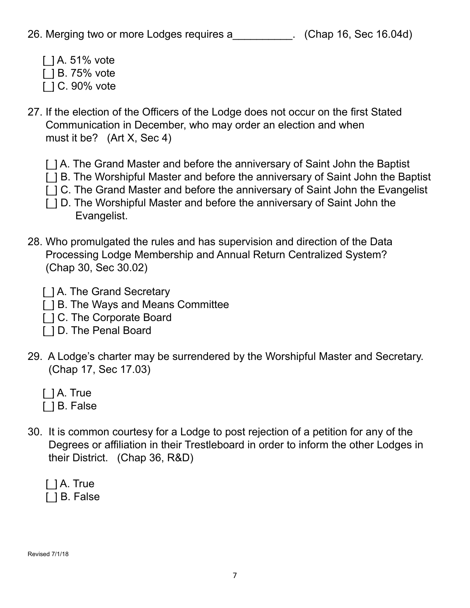- $[$  ] A. 51% vote
- [] B. 75% vote
- [] C. 90% vote
- 27. If the election of the Officers of the Lodge does not occur on the first Stated Communication in December, who may order an election and when must it be? (Art X, Sec 4)
	- [] A. The Grand Master and before the anniversary of Saint John the Baptist
	- [ $|$ ] B. The Worshipful Master and before the anniversary of Saint John the Baptist
	- [ $|C|$ . The Grand Master and before the anniversary of Saint John the Evangelist
	- [ $|$ ] D. The Worshipful Master and before the anniversary of Saint John the Evangelist.
- 28. Who promulgated the rules and has supervision and direction of the Data Processing Lodge Membership and Annual Return Centralized System? (Chap 30, Sec 30.02)
	- [] A. The Grand Secretary
	- [ $|$ ] B. The Ways and Means Committee
	- [] C. The Corporate Board
	- [ $|$  ] D. The Penal Board
- 29. A Lodge's charter may be surrendered by the Worshipful Master and Secretary. (Chap 17, Sec 17.03)
	- [] A. True
	- [] B. False
- 30. It is common courtesy for a Lodge to post rejection of a petition for any of the Degrees or affiliation in their Trestleboard in order to inform the other Lodges in their District. (Chap 36, R&D)

|  |  | []A. True |
|--|--|-----------|
|  |  | 1B. False |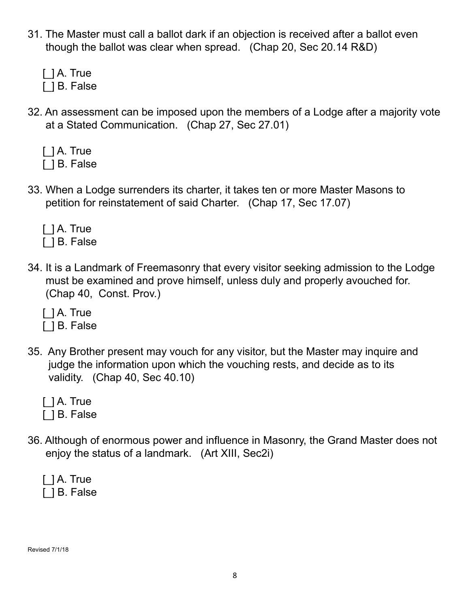- 31. The Master must call a ballot dark if an objection is received after a ballot even though the ballot was clear when spread. (Chap 20, Sec 20.14 R&D)
	- $[$   $]$  A. True
	- [] B. False
- 32. An assessment can be imposed upon the members of a Lodge after a majority vote at a Stated Communication. (Chap 27, Sec 27.01)
	- [] A. True
	- [] B. False
- 33. When a Lodge surrenders its charter, it takes ten or more Master Masons to petition for reinstatement of said Charter. (Chap 17, Sec 17.07)
	- [] A. True [] B. False
- 34. It is a Landmark of Freemasonry that every visitor seeking admission to the Lodge must be examined and prove himself, unless duly and properly avouched for. (Chap 40, Const. Prov.)
	- [ ] A. True
	- [] B. False
- 35. Any Brother present may vouch for any visitor, but the Master may inquire and judge the information upon which the vouching rests, and decide as to its validity. (Chap 40, Sec 40.10)
	- [ ] A. True
	- [] B. False
- 36. Although of enormous power and influence in Masonry, the Grand Master does not enjoy the status of a landmark. (Art XIII, Sec2i)
	- [] A. True [] B. False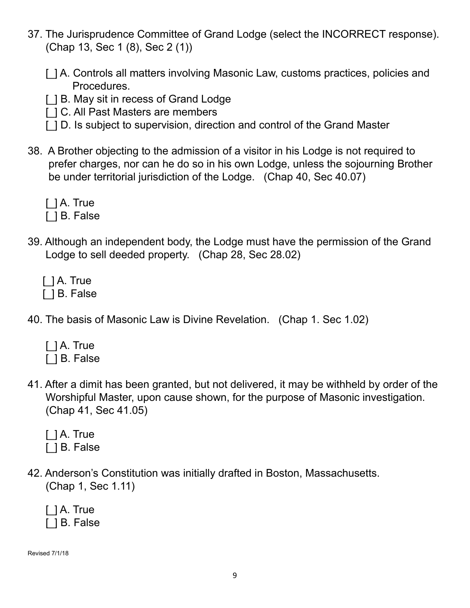- 37. The Jurisprudence Committee of Grand Lodge (select the INCORRECT response). (Chap 13, Sec 1 (8), Sec 2 (1))
	- [ $|$ ] A. Controls all matters involving Masonic Law, customs practices, policies and Procedures.
	- [] B. May sit in recess of Grand Lodge
	- [] C. All Past Masters are members
	- [ $1$  D. Is subject to supervision, direction and control of the Grand Master
- 38. A Brother objecting to the admission of a visitor in his Lodge is not required to prefer charges, nor can he do so in his own Lodge, unless the sojourning Brother be under territorial jurisdiction of the Lodge. (Chap 40, Sec 40.07)
	- [] A. True
	- [ ] B. False
- 39. Although an independent body, the Lodge must have the permission of the Grand Lodge to sell deeded property. (Chap 28, Sec 28.02)
	- $\lceil$   $\rceil$  A. True [  $\vert$  B. False
- 40. The basis of Masonic Law is Divine Revelation. (Chap 1. Sec 1.02)
	- [] A. True [ ] B. False
- 41. After a dimit has been granted, but not delivered, it may be withheld by order of the Worshipful Master, upon cause shown, for the purpose of Masonic investigation. (Chap 41, Sec 41.05)

|  | $\lceil$ ] A. True |  |
|--|--------------------|--|
|  | [ ] B. False       |  |

42. Anderson's Constitution was initially drafted in Boston, Massachusetts. (Chap 1, Sec 1.11)

|  | $\lceil$ ] A. True |
|--|--------------------|
|  | [ ] B. False       |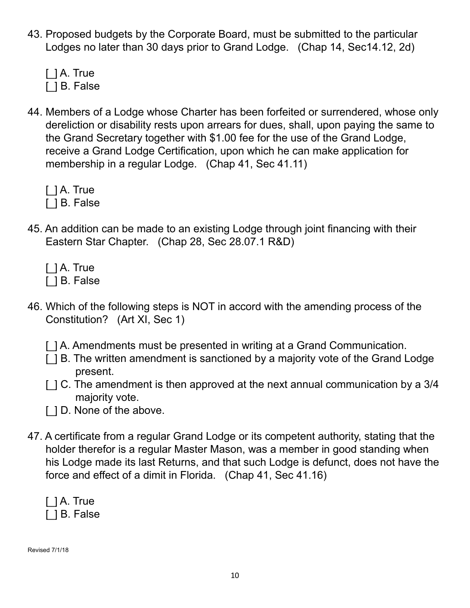- 43. Proposed budgets by the Corporate Board, must be submitted to the particular Lodges no later than 30 days prior to Grand Lodge. (Chap 14, Sec14.12, 2d)
	- [] A. True [] B. False
- 44. Members of a Lodge whose Charter has been forfeited or surrendered, whose only dereliction or disability rests upon arrears for dues, shall, upon paying the same to the Grand Secretary together with \$1.00 fee for the use of the Grand Lodge, receive a Grand Lodge Certification, upon which he can make application for membership in a regular Lodge. (Chap 41, Sec 41.11)
	- [ ] A. True
	- [] B. False
- 45. An addition can be made to an existing Lodge through joint financing with their Eastern Star Chapter. (Chap 28, Sec 28.07.1 R&D)
	- [] A. True
	- [] B. False
- 46. Which of the following steps is NOT in accord with the amending process of the Constitution? (Art XI, Sec 1)
	- [ $|$ ] A. Amendments must be presented in writing at a Grand Communication.
	- [ $|$ ] B. The written amendment is sanctioned by a majority vote of the Grand Lodge present.
	- $\lceil$   $\lceil$   $\lceil$  C. The amendment is then approved at the next annual communication by a 3/4 majority vote.
	- [ $|$ ] D. None of the above.
- 47. A certificate from a regular Grand Lodge or its competent authority, stating that the holder therefor is a regular Master Mason, was a member in good standing when his Lodge made its last Returns, and that such Lodge is defunct, does not have the force and effect of a dimit in Florida. (Chap 41, Sec 41.16)

|  | $\lceil$ $\rceil$ A. True |
|--|---------------------------|
|  | [ ] B. False              |